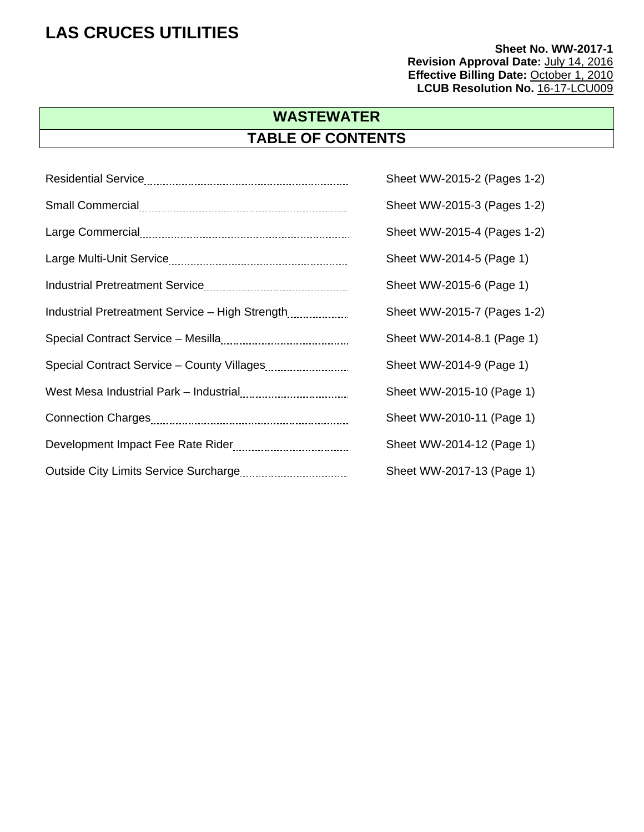**Sheet No. WW-2017-1 Revision Approval Date:** July 14, 2016 **Effective Billing Date: October 1, 2010** LCUB Resolution No. 16-17-LCU009

## **WASTEWATER TABLE OF CONTENTS**

|                                                 | Sheet WW-2015-2 (Pages 1-2) |
|-------------------------------------------------|-----------------------------|
|                                                 | Sheet WW-2015-3 (Pages 1-2) |
|                                                 | Sheet WW-2015-4 (Pages 1-2) |
|                                                 | Sheet WW-2014-5 (Page 1)    |
|                                                 | Sheet WW-2015-6 (Page 1)    |
| Industrial Pretreatment Service - High Strength | Sheet WW-2015-7 (Pages 1-2) |
|                                                 | Sheet WW-2014-8.1 (Page 1)  |
|                                                 | Sheet WW-2014-9 (Page 1)    |
|                                                 | Sheet WW-2015-10 (Page 1)   |
|                                                 | Sheet WW-2010-11 (Page 1)   |
|                                                 | Sheet WW-2014-12 (Page 1)   |
|                                                 | Sheet WW-2017-13 (Page 1)   |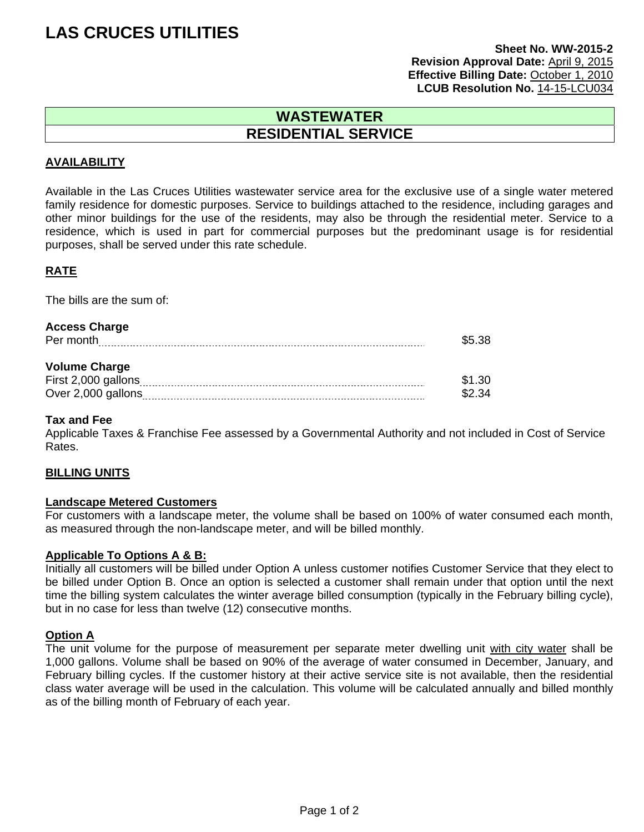#### **Sheet No. WW-2015-2 Revision Approval Date:** April 9, 2015 **Effective Billing Date:** October 1, 2010 **LCUB Resolution No.** 14-15-LCU034

### **WASTEWATER RESIDENTIAL SERVICE**

#### **AVAILABILITY**

Available in the Las Cruces Utilities wastewater service area for the exclusive use of a single water metered family residence for domestic purposes. Service to buildings attached to the residence, including garages and other minor buildings for the use of the residents, may also be through the residential meter. Service to a residence, which is used in part for commercial purposes but the predominant usage is for residential purposes, shall be served under this rate schedule.

#### **RATE**

The bills are the sum of:

| <b>Access Charge</b><br>Per month                                 | \$5.38           |
|-------------------------------------------------------------------|------------------|
| <b>Volume Charge</b><br>First 2,000 gallons<br>Over 2,000 gallons | \$1.30<br>\$2.34 |

#### **Tax and Fee**

Applicable Taxes & Franchise Fee assessed by a Governmental Authority and not included in Cost of Service Rates.

#### **BILLING UNITS**

#### **Landscape Metered Customers**

For customers with a landscape meter, the volume shall be based on 100% of water consumed each month, as measured through the non-landscape meter, and will be billed monthly.

#### **Applicable To Options A & B:**

Initially all customers will be billed under Option A unless customer notifies Customer Service that they elect to be billed under Option B. Once an option is selected a customer shall remain under that option until the next time the billing system calculates the winter average billed consumption (typically in the February billing cycle), but in no case for less than twelve (12) consecutive months.

#### **Option A**

The unit volume for the purpose of measurement per separate meter dwelling unit with city water shall be 1,000 gallons. Volume shall be based on 90% of the average of water consumed in December, January, and February billing cycles. If the customer history at their active service site is not available, then the residential class water average will be used in the calculation. This volume will be calculated annually and billed monthly as of the billing month of February of each year.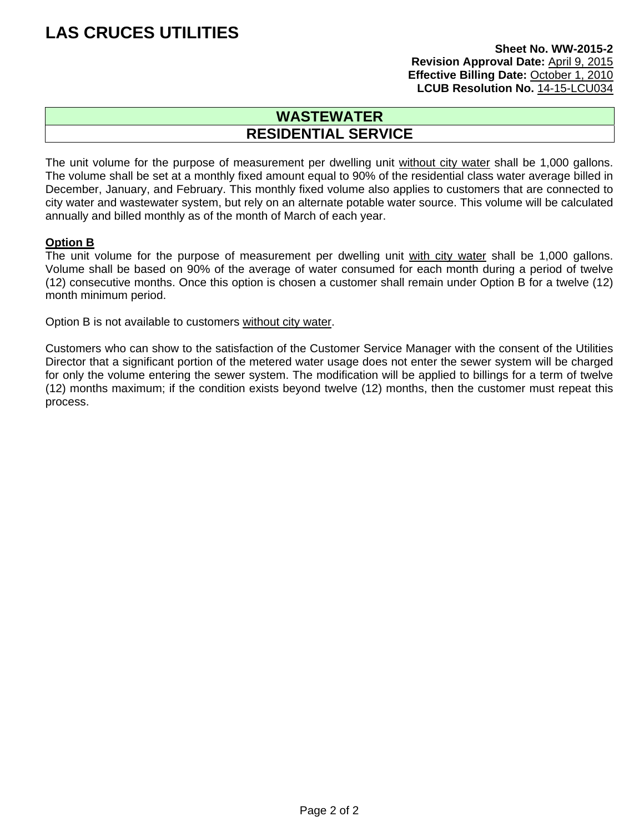#### **Sheet No. WW-2015-2 Revision Approval Date:** April 9, 2015 **Effective Billing Date:** October 1, 2010 **LCUB Resolution No.** 14-15-LCU034

### **WASTEWATER RESIDENTIAL SERVICE**

The unit volume for the purpose of measurement per dwelling unit without city water shall be 1,000 gallons. The volume shall be set at a monthly fixed amount equal to 90% of the residential class water average billed in December, January, and February. This monthly fixed volume also applies to customers that are connected to city water and wastewater system, but rely on an alternate potable water source. This volume will be calculated annually and billed monthly as of the month of March of each year.

#### **Option B**

The unit volume for the purpose of measurement per dwelling unit with city water shall be 1,000 gallons. Volume shall be based on 90% of the average of water consumed for each month during a period of twelve (12) consecutive months. Once this option is chosen a customer shall remain under Option B for a twelve (12) month minimum period.

Option B is not available to customers without city water.

Customers who can show to the satisfaction of the Customer Service Manager with the consent of the Utilities Director that a significant portion of the metered water usage does not enter the sewer system will be charged for only the volume entering the sewer system. The modification will be applied to billings for a term of twelve (12) months maximum; if the condition exists beyond twelve (12) months, then the customer must repeat this process.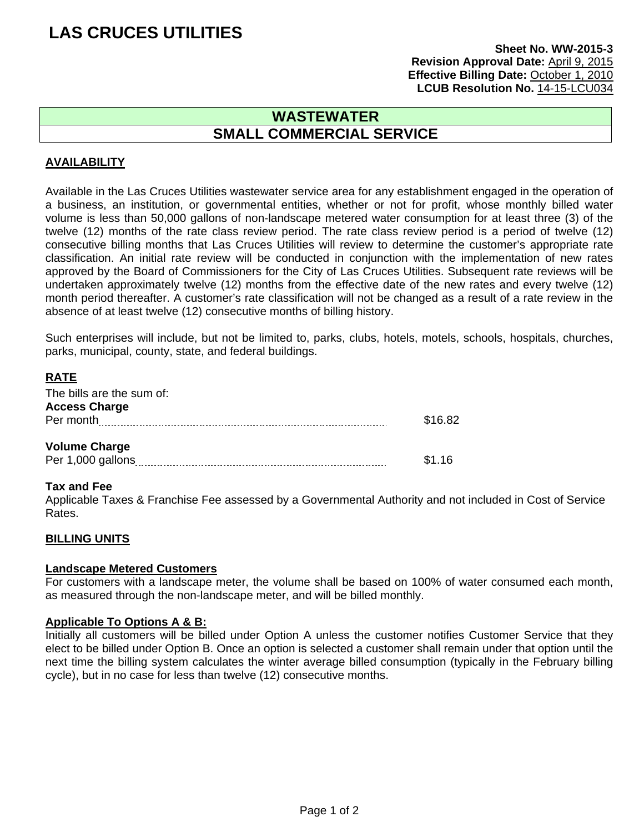#### **Sheet No. WW-2015-3 Revision Approval Date:** April 9, 2015 **Effective Billing Date:** October 1, 2010 **LCUB Resolution No.** 14-15-LCU034

### **WASTEWATER SMALL COMMERCIAL SERVICE**

#### **AVAILABILITY**

Available in the Las Cruces Utilities wastewater service area for any establishment engaged in the operation of a business, an institution, or governmental entities, whether or not for profit, whose monthly billed water volume is less than 50,000 gallons of non-landscape metered water consumption for at least three (3) of the twelve (12) months of the rate class review period. The rate class review period is a period of twelve (12) consecutive billing months that Las Cruces Utilities will review to determine the customer's appropriate rate classification. An initial rate review will be conducted in conjunction with the implementation of new rates approved by the Board of Commissioners for the City of Las Cruces Utilities. Subsequent rate reviews will be undertaken approximately twelve (12) months from the effective date of the new rates and every twelve (12) month period thereafter. A customer's rate classification will not be changed as a result of a rate review in the absence of at least twelve (12) consecutive months of billing history.

Such enterprises will include, but not be limited to, parks, clubs, hotels, motels, schools, hospitals, churches, parks, municipal, county, state, and federal buildings.

#### **RATE**

| The bills are the sum of: |         |
|---------------------------|---------|
| <b>Access Charge</b>      |         |
| Per month                 | \$16.82 |
|                           |         |
| <b>Volume Charge</b>      |         |
| Per 1,000 gallons         | \$1.16  |

#### **Tax and Fee**

Applicable Taxes & Franchise Fee assessed by a Governmental Authority and not included in Cost of Service Rates.

#### **BILLING UNITS**

#### **Landscape Metered Customers**

For customers with a landscape meter, the volume shall be based on 100% of water consumed each month, as measured through the non-landscape meter, and will be billed monthly.

#### **Applicable To Options A & B:**

Initially all customers will be billed under Option A unless the customer notifies Customer Service that they elect to be billed under Option B. Once an option is selected a customer shall remain under that option until the next time the billing system calculates the winter average billed consumption (typically in the February billing cycle), but in no case for less than twelve (12) consecutive months.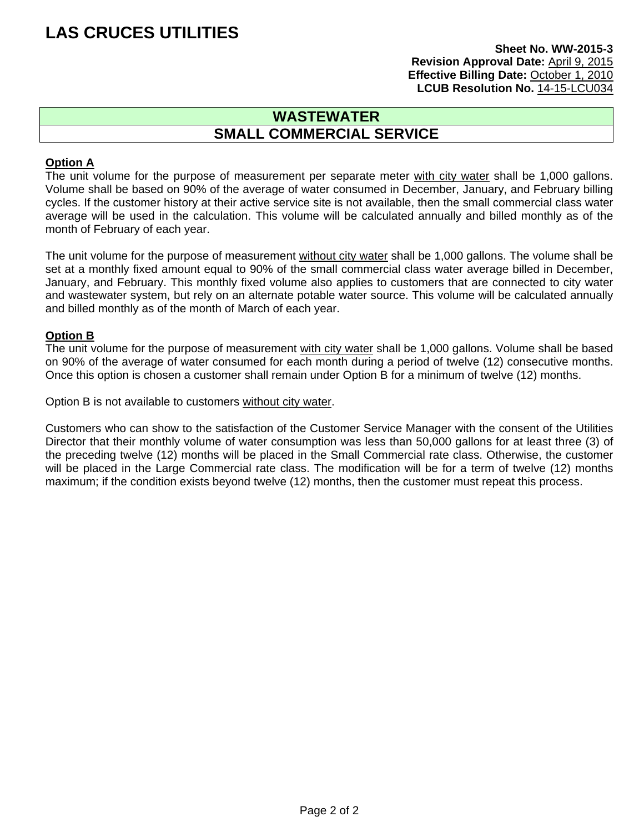#### **Sheet No. WW-2015-3 Revision Approval Date:** April 9, 2015 **Effective Billing Date:** October 1, 2010 **LCUB Resolution No.** 14-15-LCU034

### **WASTEWATER SMALL COMMERCIAL SERVICE**

#### **Option A**

The unit volume for the purpose of measurement per separate meter with city water shall be 1,000 gallons. Volume shall be based on 90% of the average of water consumed in December, January, and February billing cycles. If the customer history at their active service site is not available, then the small commercial class water average will be used in the calculation. This volume will be calculated annually and billed monthly as of the month of February of each year.

The unit volume for the purpose of measurement without city water shall be 1,000 gallons. The volume shall be set at a monthly fixed amount equal to 90% of the small commercial class water average billed in December, January, and February. This monthly fixed volume also applies to customers that are connected to city water and wastewater system, but rely on an alternate potable water source. This volume will be calculated annually and billed monthly as of the month of March of each year.

#### **Option B**

The unit volume for the purpose of measurement with city water shall be 1,000 gallons. Volume shall be based on 90% of the average of water consumed for each month during a period of twelve (12) consecutive months. Once this option is chosen a customer shall remain under Option B for a minimum of twelve (12) months.

Option B is not available to customers without city water.

Customers who can show to the satisfaction of the Customer Service Manager with the consent of the Utilities Director that their monthly volume of water consumption was less than 50,000 gallons for at least three (3) of the preceding twelve (12) months will be placed in the Small Commercial rate class. Otherwise, the customer will be placed in the Large Commercial rate class. The modification will be for a term of twelve (12) months maximum; if the condition exists beyond twelve (12) months, then the customer must repeat this process.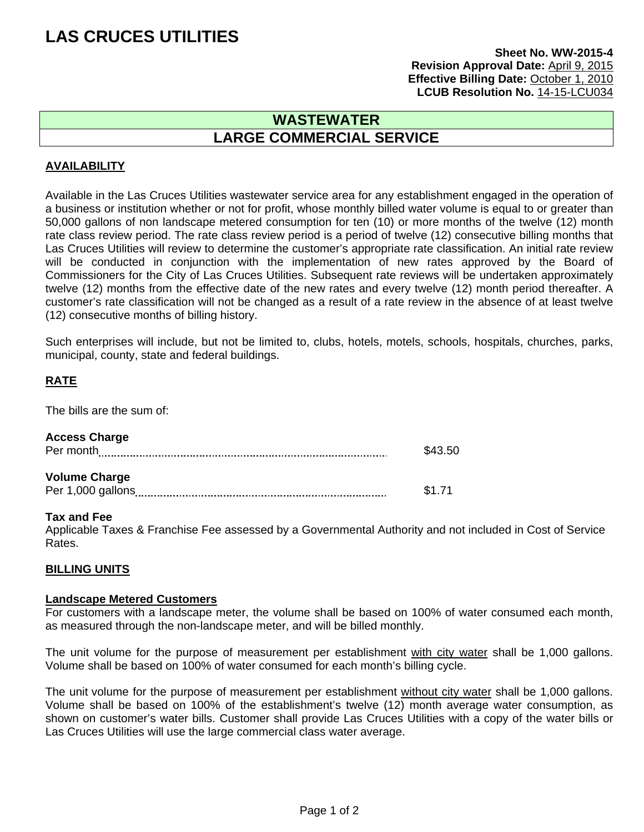#### **Sheet No. WW-2015-4 Revision Approval Date:** April 9, 2015 **Effective Billing Date:** October 1, 2010 LCUB Resolution No. 14-15-LCU034

### **WASTEWATER LARGE COMMERCIAL SERVICE**

#### **AVAILABILITY**

Available in the Las Cruces Utilities wastewater service area for any establishment engaged in the operation of a business or institution whether or not for profit, whose monthly billed water volume is equal to or greater than 50,000 gallons of non landscape metered consumption for ten (10) or more months of the twelve (12) month rate class review period. The rate class review period is a period of twelve (12) consecutive billing months that Las Cruces Utilities will review to determine the customer's appropriate rate classification. An initial rate review will be conducted in conjunction with the implementation of new rates approved by the Board of Commissioners for the City of Las Cruces Utilities. Subsequent rate reviews will be undertaken approximately twelve (12) months from the effective date of the new rates and every twelve (12) month period thereafter. A customer's rate classification will not be changed as a result of a rate review in the absence of at least twelve (12) consecutive months of billing history.

Such enterprises will include, but not be limited to, clubs, hotels, motels, schools, hospitals, churches, parks, municipal, county, state and federal buildings.

#### **RATE**

The bills are the sum of:

| Per month            | \$43.50 |
|----------------------|---------|
| <b>Volume Charge</b> |         |
| Per 1,000 gallons    | \$1.71  |

#### **Tax and Fee**

Applicable Taxes & Franchise Fee assessed by a Governmental Authority and not included in Cost of Service Rates.

#### **BILLING UNITS**

#### **Landscape Metered Customers**

For customers with a landscape meter, the volume shall be based on 100% of water consumed each month, as measured through the non-landscape meter, and will be billed monthly.

The unit volume for the purpose of measurement per establishment with city water shall be 1,000 gallons. Volume shall be based on 100% of water consumed for each month's billing cycle.

The unit volume for the purpose of measurement per establishment without city water shall be 1,000 gallons. Volume shall be based on 100% of the establishment's twelve (12) month average water consumption, as shown on customer's water bills. Customer shall provide Las Cruces Utilities with a copy of the water bills or Las Cruces Utilities will use the large commercial class water average.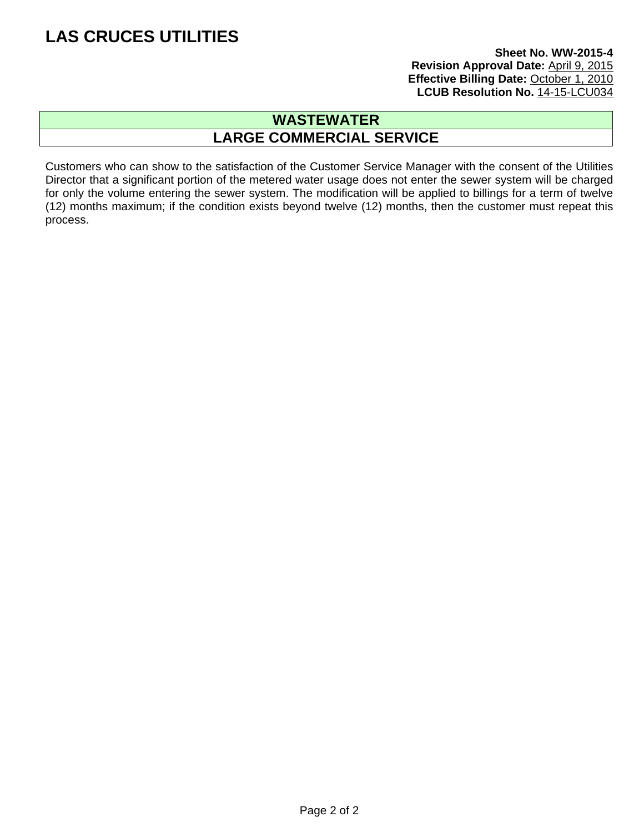#### **Sheet No. WW-2015-4 Revision Approval Date:** April 9, 2015 **Effective Billing Date:** October 1, 2010 LCUB Resolution No. 14-15-LCU034

### **WASTEWATER LARGE COMMERCIAL SERVICE**

Customers who can show to the satisfaction of the Customer Service Manager with the consent of the Utilities Director that a significant portion of the metered water usage does not enter the sewer system will be charged for only the volume entering the sewer system. The modification will be applied to billings for a term of twelve (12) months maximum; if the condition exists beyond twelve (12) months, then the customer must repeat this process.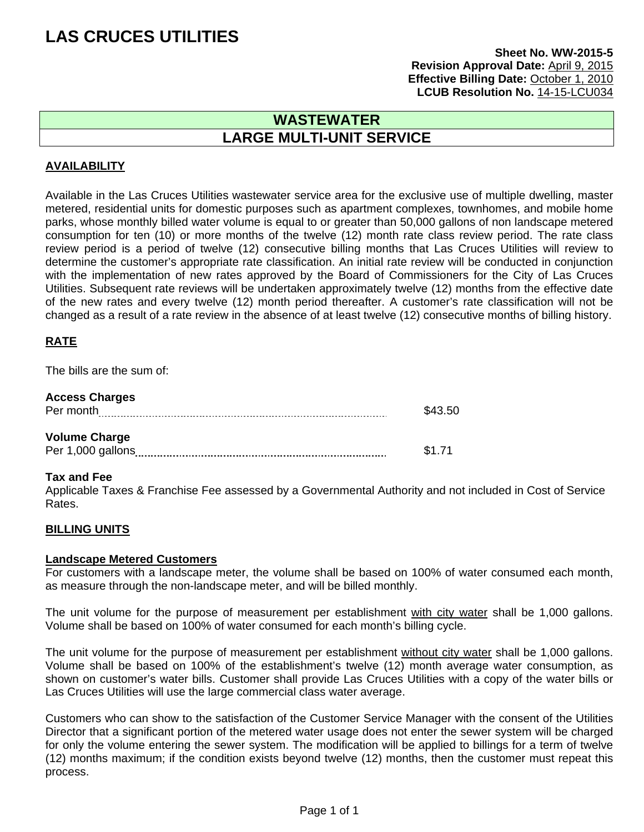#### **Sheet No. WW-2015-5 Revision Approval Date:** April 9, 2015 **Effective Billing Date:** October 1, 2010 LCUB Resolution No. 14-15-LCU034

### **WASTEWATER LARGE MULTI-UNIT SERVICE**

#### **AVAILABILITY**

Available in the Las Cruces Utilities wastewater service area for the exclusive use of multiple dwelling, master metered, residential units for domestic purposes such as apartment complexes, townhomes, and mobile home parks, whose monthly billed water volume is equal to or greater than 50,000 gallons of non landscape metered consumption for ten (10) or more months of the twelve (12) month rate class review period. The rate class review period is a period of twelve (12) consecutive billing months that Las Cruces Utilities will review to determine the customer's appropriate rate classification. An initial rate review will be conducted in conjunction with the implementation of new rates approved by the Board of Commissioners for the City of Las Cruces Utilities. Subsequent rate reviews will be undertaken approximately twelve (12) months from the effective date of the new rates and every twelve (12) month period thereafter. A customer's rate classification will not be changed as a result of a rate review in the absence of at least twelve (12) consecutive months of billing history.

#### **RATE**

The bills are the sum of:

| <b>Access Charges</b><br>Per month        | \$43.50 |
|-------------------------------------------|---------|
| <b>Volume Charge</b><br>Per 1,000 gallons | \$1.71  |

#### **Tax and Fee**

Applicable Taxes & Franchise Fee assessed by a Governmental Authority and not included in Cost of Service Rates.

#### **BILLING UNITS**

#### **Landscape Metered Customers**

For customers with a landscape meter, the volume shall be based on 100% of water consumed each month, as measure through the non-landscape meter, and will be billed monthly.

The unit volume for the purpose of measurement per establishment with city water shall be 1,000 gallons. Volume shall be based on 100% of water consumed for each month's billing cycle.

The unit volume for the purpose of measurement per establishment without city water shall be 1,000 gallons. Volume shall be based on 100% of the establishment's twelve (12) month average water consumption, as shown on customer's water bills. Customer shall provide Las Cruces Utilities with a copy of the water bills or Las Cruces Utilities will use the large commercial class water average.

Customers who can show to the satisfaction of the Customer Service Manager with the consent of the Utilities Director that a significant portion of the metered water usage does not enter the sewer system will be charged for only the volume entering the sewer system. The modification will be applied to billings for a term of twelve (12) months maximum; if the condition exists beyond twelve (12) months, then the customer must repeat this process.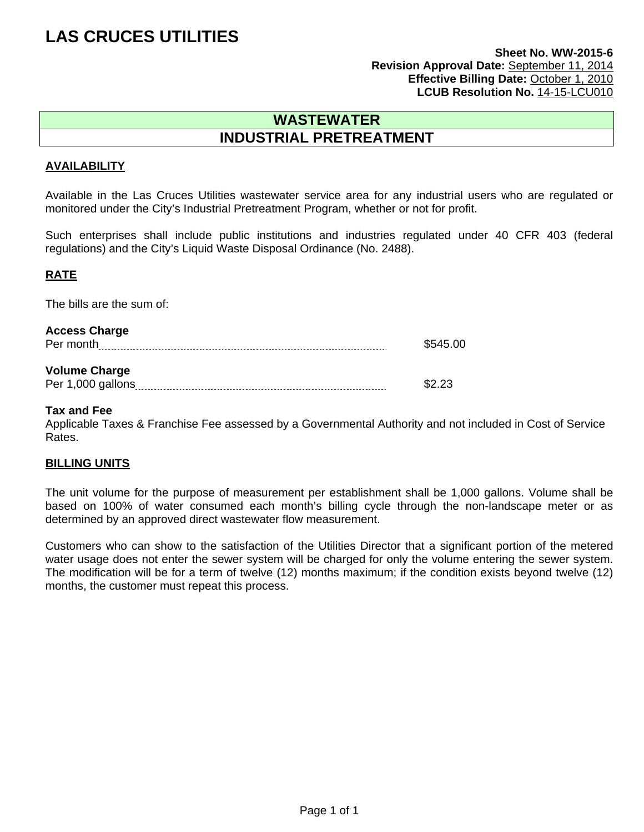#### **Sheet No. WW-2015-6 Revision Approval Date:** September 11, 2014 **Effective Billing Date:** October 1, 2010 LCUB Resolution No. 14-15-LCU010

### **WASTEWATER INDUSTRIAL PRETREATMENT**

#### **AVAILABILITY**

Available in the Las Cruces Utilities wastewater service area for any industrial users who are regulated or monitored under the City's Industrial Pretreatment Program, whether or not for profit.

Such enterprises shall include public institutions and industries regulated under 40 CFR 403 (federal regulations) and the City's Liquid Waste Disposal Ordinance (No. 2488).

#### **RATE**

The bills are the sum of:

| <b>Access Charge</b> |          |
|----------------------|----------|
| Per month            | \$545.00 |
|                      |          |
| <b>Volume Charge</b> |          |
| Per 1,000 gallons    | \$2.23   |

#### **Tax and Fee**

Applicable Taxes & Franchise Fee assessed by a Governmental Authority and not included in Cost of Service Rates.

#### **BILLING UNITS**

The unit volume for the purpose of measurement per establishment shall be 1,000 gallons. Volume shall be based on 100% of water consumed each month's billing cycle through the non-landscape meter or as determined by an approved direct wastewater flow measurement.

Customers who can show to the satisfaction of the Utilities Director that a significant portion of the metered water usage does not enter the sewer system will be charged for only the volume entering the sewer system. The modification will be for a term of twelve (12) months maximum; if the condition exists beyond twelve (12) months, the customer must repeat this process.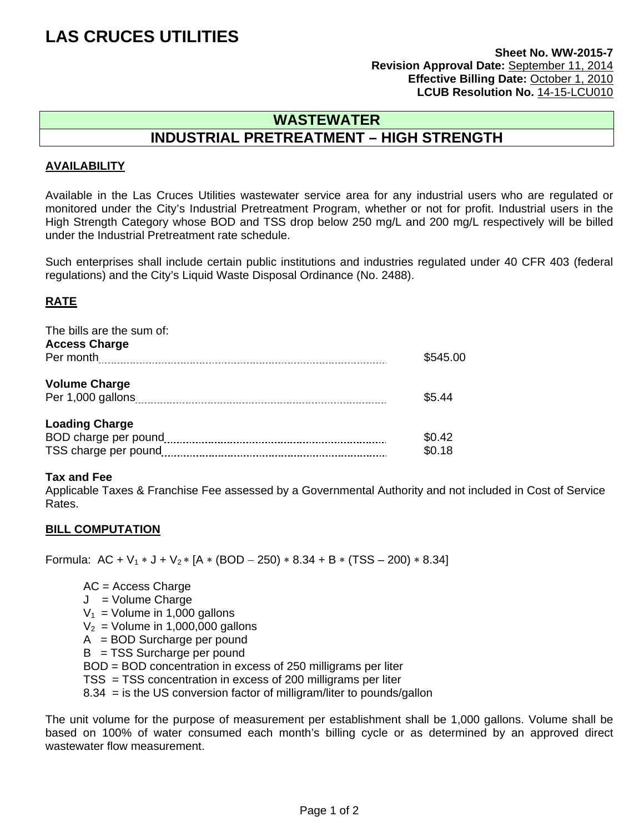#### **Sheet No. WW-2015-7 Revision Approval Date:** September 11, 2014 **Effective Billing Date:** October 1, 2010 **LCUB Resolution No.** 14-15-LCU010

### **WASTEWATER INDUSTRIAL PRETREATMENT – HIGH STRENGTH**

#### **AVAILABILITY**

Available in the Las Cruces Utilities wastewater service area for any industrial users who are regulated or monitored under the City's Industrial Pretreatment Program, whether or not for profit. Industrial users in the High Strength Category whose BOD and TSS drop below 250 mg/L and 200 mg/L respectively will be billed under the Industrial Pretreatment rate schedule.

Such enterprises shall include certain public institutions and industries regulated under 40 CFR 403 (federal regulations) and the City's Liquid Waste Disposal Ordinance (No. 2488).

#### **RATE**

| The bills are the sum of:<br><b>Access Charge</b> |          |
|---------------------------------------------------|----------|
|                                                   | \$545.00 |
| <b>Volume Charge</b>                              |          |
|                                                   | \$5.44   |
| <b>Loading Charge</b>                             |          |
| BOD charge per pound                              | \$0.42   |
| TSS charge per pound                              | \$0.18   |

#### **Tax and Fee**

Applicable Taxes & Franchise Fee assessed by a Governmental Authority and not included in Cost of Service Rates.

#### **BILL COMPUTATION**

Formula:  $AC + V_1 * J + V_2 * [A * (BOD - 250) * 8.34 + B * (TSS - 200) * 8.34]$ 

 AC = Access Charge J = Volume Charge  $V_1$  = Volume in 1,000 gallons  $V_2$  = Volume in 1,000,000 gallons  $A = BOD$  Surcharge per pound B = TSS Surcharge per pound BOD = BOD concentration in excess of 250 milligrams per liter TSS = TSS concentration in excess of 200 milligrams per liter 8.34 = is the US conversion factor of milligram/liter to pounds/gallon

The unit volume for the purpose of measurement per establishment shall be 1,000 gallons. Volume shall be based on 100% of water consumed each month's billing cycle or as determined by an approved direct wastewater flow measurement.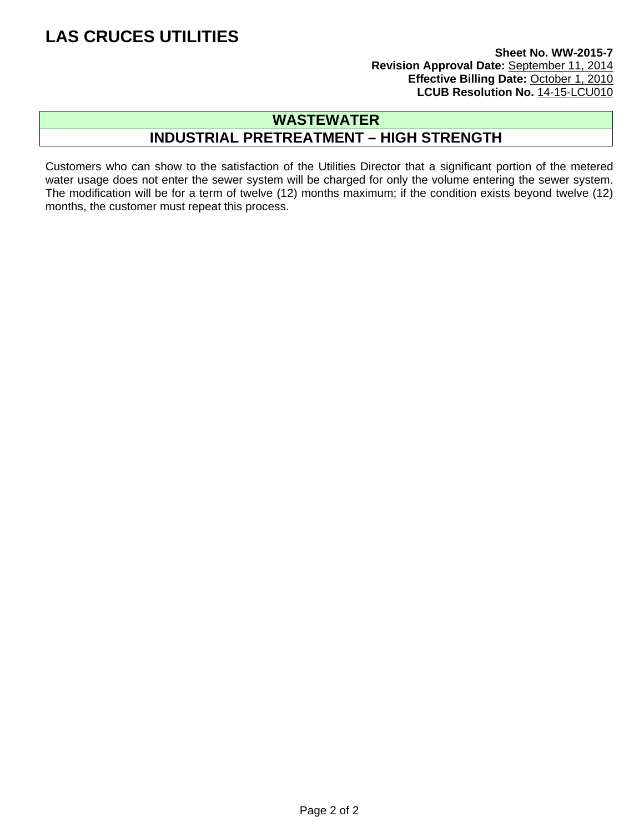#### **Sheet No. WW-2015-7 Revision Approval Date:** September 11, 2014 **Effective Billing Date: October 1, 2010** LCUB Resolution No. 14-15-LCU010

### **WASTEWATER INDUSTRIAL PRETREATMENT – HIGH STRENGTH**

Customers who can show to the satisfaction of the Utilities Director that a significant portion of the metered water usage does not enter the sewer system will be charged for only the volume entering the sewer system. The modification will be for a term of twelve (12) months maximum; if the condition exists beyond twelve (12) months, the customer must repeat this process.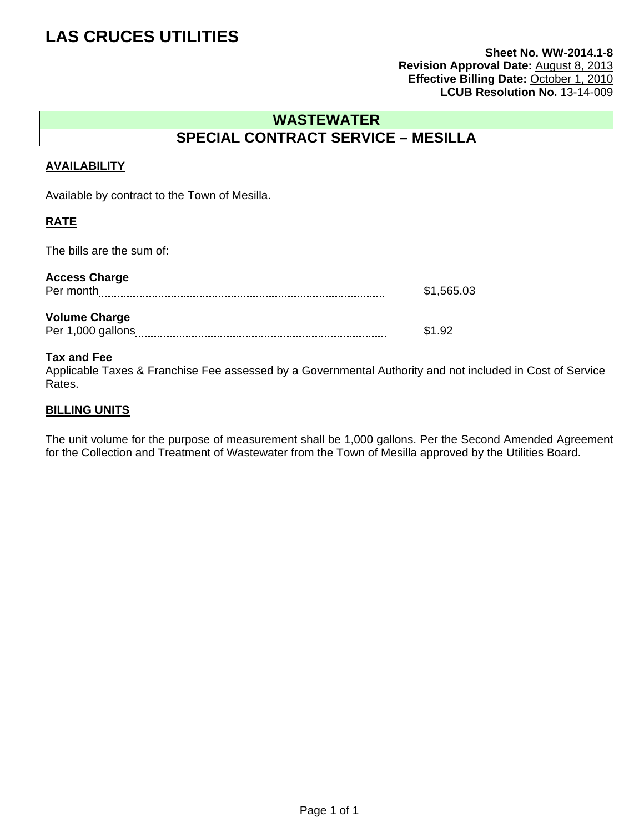#### **Sheet No. WW-2014.1-8 Revision Approval Date:** August 8, 2013 **Effective Billing Date:** October 1, 2010 LCUB Resolution No. 13-14-009

### **WASTEWATER SPECIAL CONTRACT SERVICE – MESILLA**

#### **AVAILABILITY**

Available by contract to the Town of Mesilla.

#### **RATE**

The bills are the sum of:

| <b>Access Charge</b><br>Per month         | \$1,565.03 |
|-------------------------------------------|------------|
| <b>Volume Charge</b><br>Per 1,000 gallons | \$1.92     |

#### **Tax and Fee**

Applicable Taxes & Franchise Fee assessed by a Governmental Authority and not included in Cost of Service Rates.

#### **BILLING UNITS**

The unit volume for the purpose of measurement shall be 1,000 gallons. Per the Second Amended Agreement for the Collection and Treatment of Wastewater from the Town of Mesilla approved by the Utilities Board.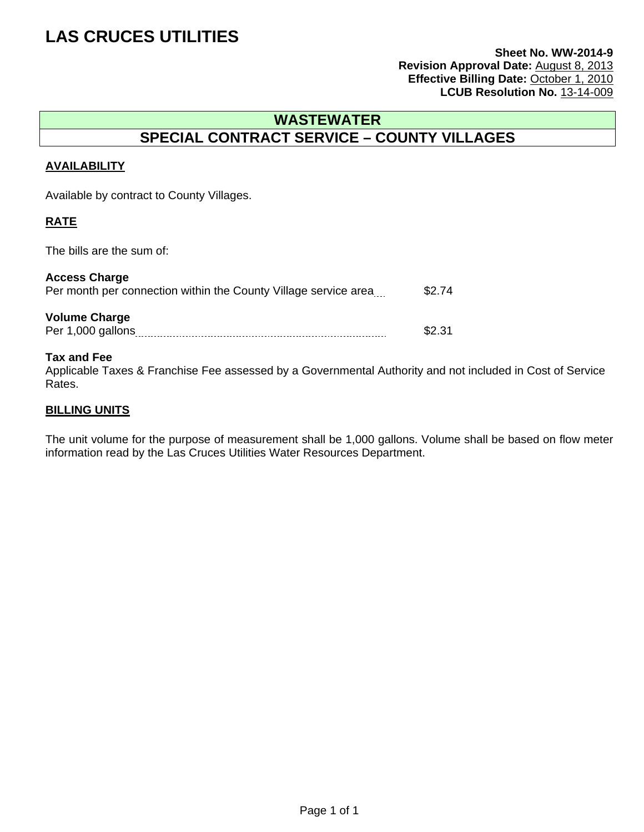#### **Sheet No. WW-2014-9 Revision Approval Date:** August 8, 2013 **Effective Billing Date:** October 1, 2010 LCUB Resolution No. 13-14-009

### **WASTEWATER SPECIAL CONTRACT SERVICE – COUNTY VILLAGES**

#### **AVAILABILITY**

Available by contract to County Villages.

#### **RATE**

The bills are the sum of:

| <b>Access Charge</b><br>Per month per connection within the County Village service area | \$2.74 |
|-----------------------------------------------------------------------------------------|--------|
| <b>Volume Charge</b><br>Per 1,000 gallons                                               | \$2.31 |

#### **Tax and Fee**

Applicable Taxes & Franchise Fee assessed by a Governmental Authority and not included in Cost of Service Rates.

#### **BILLING UNITS**

The unit volume for the purpose of measurement shall be 1,000 gallons. Volume shall be based on flow meter information read by the Las Cruces Utilities Water Resources Department.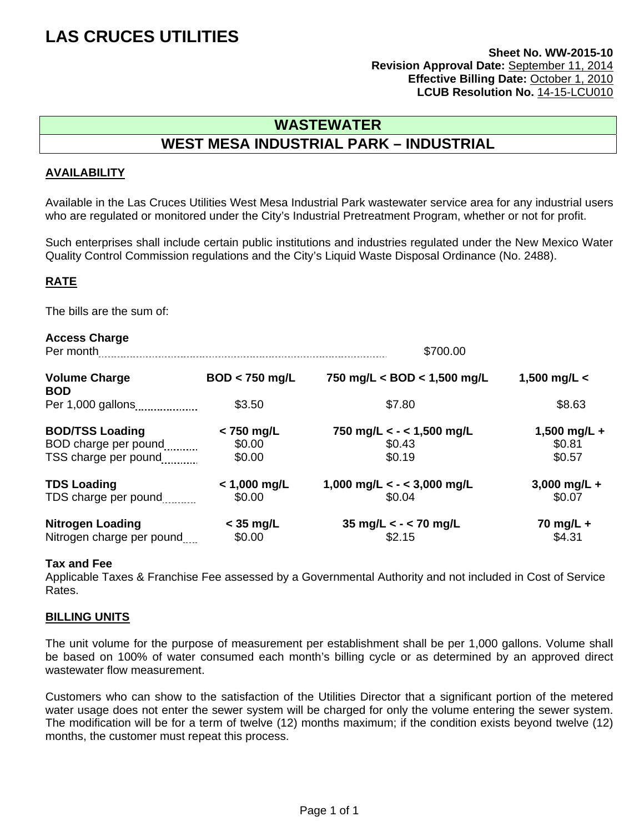#### **Sheet No. WW-2015-10 Revision Approval Date:** September 11, 2014 **Effective Billing Date:** October 1, 2010 LCUB Resolution No. 14-15-LCU010

### **WASTEWATER WEST MESA INDUSTRIAL PARK – INDUSTRIAL**

#### **AVAILABILITY**

Available in the Las Cruces Utilities West Mesa Industrial Park wastewater service area for any industrial users who are regulated or monitored under the City's Industrial Pretreatment Program, whether or not for profit.

Such enterprises shall include certain public institutions and industries regulated under the New Mexico Water Quality Control Commission regulations and the City's Liquid Waste Disposal Ordinance (No. 2488).

#### **RATE**

The bills are the sum of:

| <b>Access Charge</b><br>Per month  |                  | \$700.00                      |                |
|------------------------------------|------------------|-------------------------------|----------------|
| <b>Volume Charge</b><br><b>BOD</b> | $BOD < 750$ mg/L | 750 mg/L < BOD < $1,500$ mg/L | 1,500 mg/L $<$ |
| Per 1,000 gallons                  | \$3.50           | \$7.80                        | \$8.63         |
| <b>BOD/TSS Loading</b>             | $<$ 750 mg/L     | 750 mg/L < - < 1,500 mg/L     | 1,500 mg/L +   |
| BOD charge per pound               | \$0.00           | \$0.43                        | \$0.81         |
| TSS charge per pound               | \$0.00           | \$0.19                        | \$0.57         |
| <b>TDS Loading</b>                 | $<$ 1,000 mg/L   | 1,000 mg/L < - < 3,000 mg/L   | 3,000 mg/L +   |
| TDS charge per pound               | \$0.00           | \$0.04                        | \$0.07         |
| <b>Nitrogen Loading</b>            | $<$ 35 mg/L      | 35 mg/L $<$ - $<$ 70 mg/L     | 70 mg/L +      |
| Nitrogen charge per pound          | \$0.00           | \$2.15                        | \$4.31         |

#### **Tax and Fee**

Applicable Taxes & Franchise Fee assessed by a Governmental Authority and not included in Cost of Service Rates.

#### **BILLING UNITS**

The unit volume for the purpose of measurement per establishment shall be per 1,000 gallons. Volume shall be based on 100% of water consumed each month's billing cycle or as determined by an approved direct wastewater flow measurement.

Customers who can show to the satisfaction of the Utilities Director that a significant portion of the metered water usage does not enter the sewer system will be charged for only the volume entering the sewer system. The modification will be for a term of twelve (12) months maximum; if the condition exists beyond twelve (12) months, the customer must repeat this process.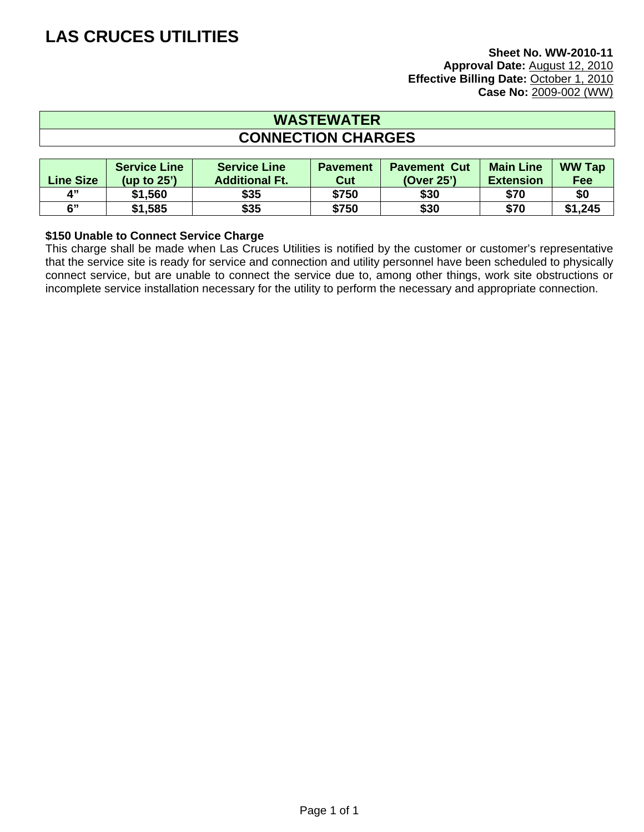### **WASTEWATER CONNECTION CHARGES**

| <b>Line Size</b> | <b>Service Line</b><br>(up to $25'$ ) | <b>Service Line</b><br><b>Additional Ft.</b> | <b>Pavement</b><br><b>Cut</b> | <b>Pavement Cut</b><br>(Over 25') | <b>Main Line</b><br><b>Extension</b> | <b>WW Tap</b><br>Fee |
|------------------|---------------------------------------|----------------------------------------------|-------------------------------|-----------------------------------|--------------------------------------|----------------------|
| $\mathbf{A}^{n}$ | \$1,560                               | \$35                                         | \$750                         | \$30                              | \$70                                 | \$0                  |
| 6"               | \$1,585                               | \$35                                         | \$750                         | \$30                              | \$70                                 | \$1,245              |

#### **\$150 Unable to Connect Service Charge**

This charge shall be made when Las Cruces Utilities is notified by the customer or customer's representative that the service site is ready for service and connection and utility personnel have been scheduled to physically connect service, but are unable to connect the service due to, among other things, work site obstructions or incomplete service installation necessary for the utility to perform the necessary and appropriate connection.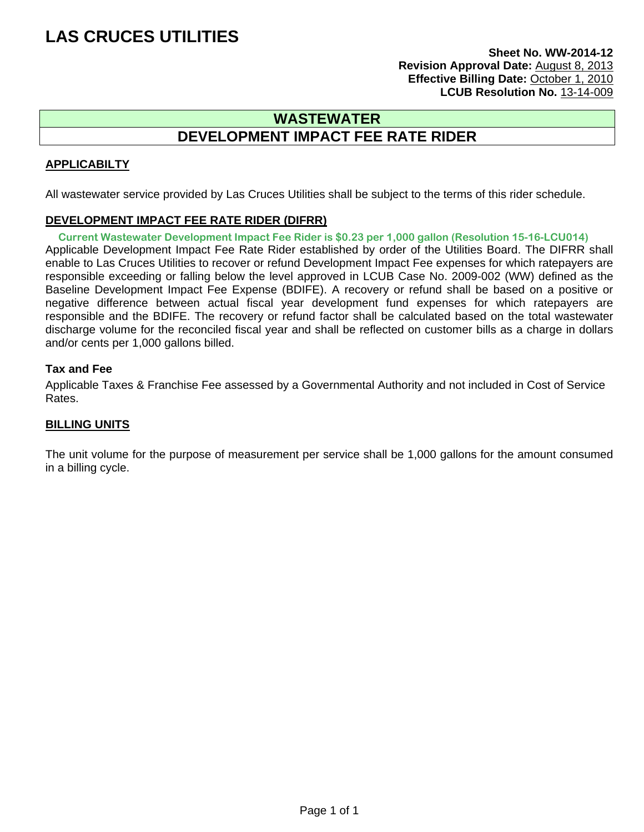**Sheet No. WW-2014-12 Revision Approval Date:** August 8, 2013 **Effective Billing Date:** October 1, 2010 **LCUB Resolution No.** 13-14-009

### **WASTEWATER DEVELOPMENT IMPACT FEE RATE RIDER**

#### **APPLICABILTY**

All wastewater service provided by Las Cruces Utilities shall be subject to the terms of this rider schedule.

#### **DEVELOPMENT IMPACT FEE RATE RIDER (DIFRR)**

Applicable Development Impact Fee Rate Rider established by order of the Utilities Board. The DIFRR shall enable to Las Cruces Utilities to recover or refund Development Impact Fee expenses for which ratepayers are responsible exceeding or falling below the level approved in LCUB Case No. 2009-002 (WW) defined as the Baseline Development Impact Fee Expense (BDIFE). A recovery or refund shall be based on a positive or negative difference between actual fiscal year development fund expenses for which ratepayers are responsible and the BDIFE. The recovery or refund factor shall be calculated based on the total wastewater discharge volume for the reconciled fiscal year and shall be reflected on customer bills as a charge in dollars and/or cents per 1,000 gallons billed. **Current Wastewater Development Impact Fee Rider is \$0.23 per 1,000 gallon (Resolution 15-16-LCU014)**

#### **Tax and Fee**

Applicable Taxes & Franchise Fee assessed by a Governmental Authority and not included in Cost of Service Rates.

#### **BILLING UNITS**

The unit volume for the purpose of measurement per service shall be 1,000 gallons for the amount consumed in a billing cycle.